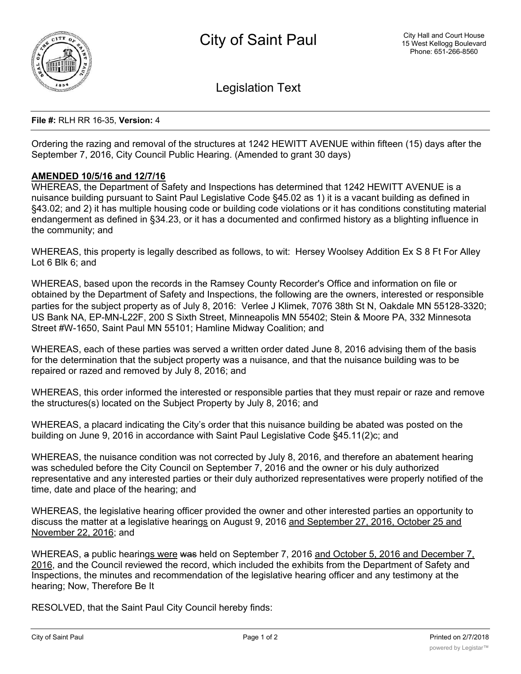

Legislation Text

## **File #:** RLH RR 16-35, **Version:** 4

Ordering the razing and removal of the structures at 1242 HEWITT AVENUE within fifteen (15) days after the September 7, 2016, City Council Public Hearing. (Amended to grant 30 days)

## **AMENDED 10/5/16 and 12/7/16**

WHEREAS, the Department of Safety and Inspections has determined that 1242 HEWITT AVENUE is a nuisance building pursuant to Saint Paul Legislative Code §45.02 as 1) it is a vacant building as defined in §43.02; and 2) it has multiple housing code or building code violations or it has conditions constituting material endangerment as defined in §34.23, or it has a documented and confirmed history as a blighting influence in the community; and

WHEREAS, this property is legally described as follows, to wit: Hersey Woolsey Addition Ex S 8 Ft For Alley Lot 6 Blk 6; and

WHEREAS, based upon the records in the Ramsey County Recorder's Office and information on file or obtained by the Department of Safety and Inspections, the following are the owners, interested or responsible parties for the subject property as of July 8, 2016: Verlee J Klimek, 7076 38th St N, Oakdale MN 55128-3320; US Bank NA, EP-MN-L22F, 200 S Sixth Street, Minneapolis MN 55402; Stein & Moore PA, 332 Minnesota Street #W-1650, Saint Paul MN 55101; Hamline Midway Coalition; and

WHEREAS, each of these parties was served a written order dated June 8, 2016 advising them of the basis for the determination that the subject property was a nuisance, and that the nuisance building was to be repaired or razed and removed by July 8, 2016; and

WHEREAS, this order informed the interested or responsible parties that they must repair or raze and remove the structures(s) located on the Subject Property by July 8, 2016; and

WHEREAS, a placard indicating the City's order that this nuisance building be abated was posted on the building on June 9, 2016 in accordance with Saint Paul Legislative Code §45.11(2)c; and

WHEREAS, the nuisance condition was not corrected by July 8, 2016, and therefore an abatement hearing was scheduled before the City Council on September 7, 2016 and the owner or his duly authorized representative and any interested parties or their duly authorized representatives were properly notified of the time, date and place of the hearing; and

WHEREAS, the legislative hearing officer provided the owner and other interested parties an opportunity to discuss the matter at a legislative hearings on August 9, 2016 and September 27, 2016, October 25 and November 22, 2016; and

WHEREAS, a public hearings were was held on September 7, 2016 and October 5, 2016 and December 7, 2016, and the Council reviewed the record, which included the exhibits from the Department of Safety and Inspections, the minutes and recommendation of the legislative hearing officer and any testimony at the hearing; Now, Therefore Be It

RESOLVED, that the Saint Paul City Council hereby finds: